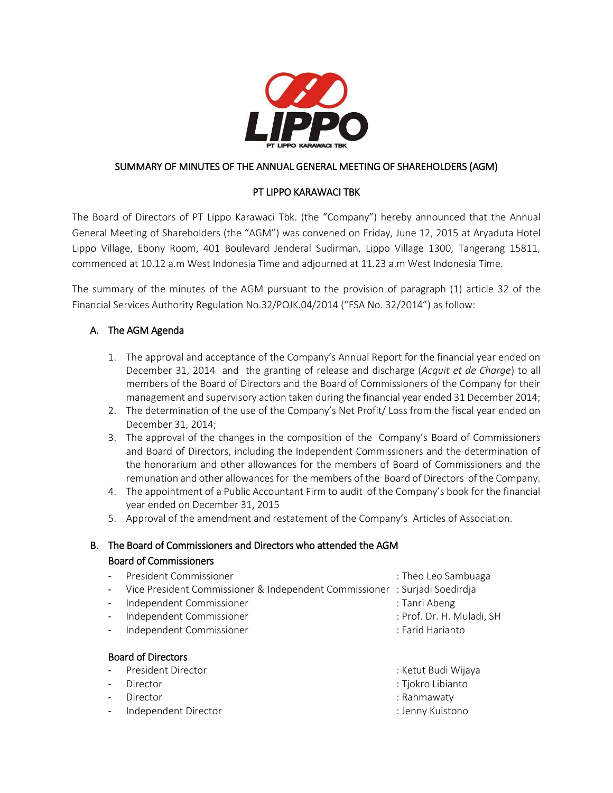

## SUMMARY OF MINUTES OF THE ANNUAL GENERAL MEETING OF SHAREHOLDERS (AGM)

## PT LIPPO KARAWACI TBK

The Board of Directors of PT Lippo Karawaci Tbk. (the "Company") hereby announced that the Annual General Meeting of Shareholders (the "AGM") was convened on Friday, June 12, 2015 at Aryaduta Hotel Lippo Village, Ebony Room, 401 Boulevard Jenderal Sudirman, Lippo Village 1300, Tangerang 15811, commenced at 10.12 a.m West Indonesia Time and adjourned at 11.23 a.m West Indonesia Time.

The summary of the minutes of the AGM pursuant to the provision of paragraph (1) article 32 of the Financial Services Authority Regulation No.32/POJK.04/2014 ("FSA No. 32/2014") as follow:

## A. The AGM Agenda

- 1. The approval and acceptance of the Company's Annual Report for the financial year ended on December 31, 2014 and the granting of release and discharge (*Acquit et de Charge*) to all members of the Board of Directors and the Board of Commissioners of the Company for their management and supervisory action taken during the financial year ended 31 December 2014;
- 2. The determination of the use of the Company's Net Profit/ Loss from the fiscal year ended on December 31, 2014;
- 3. The approval of the changes in the composition of the Company's Board of Commissioners and Board of Directors, including the Independent Commissioners and the determination of the honorarium and other allowances for the members of Board of Commissioners and the remunation and other allowances for the members of the Board of Directors of the Company.
- 4. The appointment of a Public Accountant Firm to audit of the Company's book for the financial year ended on December 31, 2015
- 5. Approval of the amendment and restatement of the Company's Articles of Association.

# B. The Board of Commissioners and Directors who attended the AGM Board of Commissioners

|                           | President Commissioner                                                     | : Theo Leo Sambuaga       |  |  |
|---------------------------|----------------------------------------------------------------------------|---------------------------|--|--|
|                           | Vice President Commissioner & Independent Commissioner : Surjadi Soedirdja |                           |  |  |
|                           | Independent Commissioner                                                   | : Tanri Abeng             |  |  |
|                           | Independent Commissioner                                                   | : Prof. Dr. H. Muladi, SH |  |  |
|                           | Independent Commissioner                                                   | : Farid Harianto          |  |  |
|                           |                                                                            |                           |  |  |
| <b>Board of Directors</b> |                                                                            |                           |  |  |
|                           | President Director                                                         | : Ketut Budi Wijaya       |  |  |
|                           | Director                                                                   | : Tjokro Libianto         |  |  |
|                           | Director                                                                   | : Rahmawaty               |  |  |

- Independent Director : Jenny Kuistono
-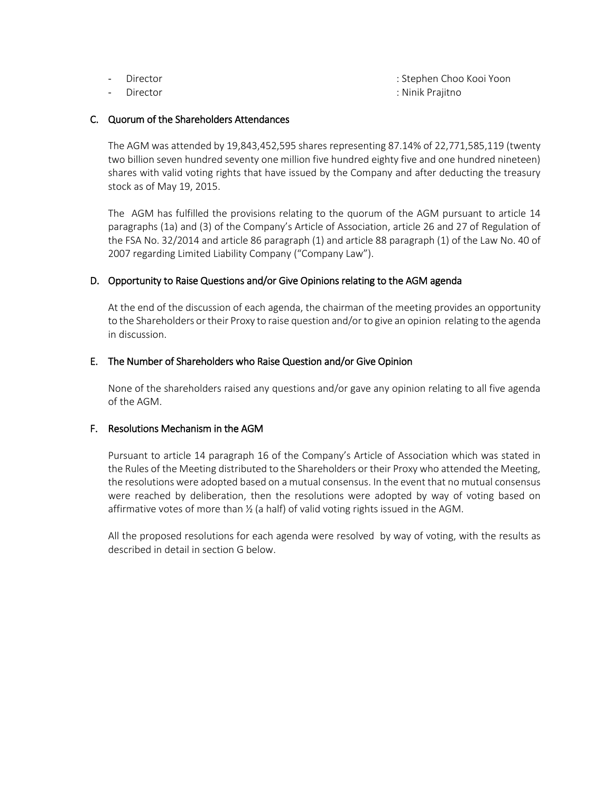- 
- 

- Director : Stephen Choo Kooi Yoon - Director : Ninik Prajitno

#### C. Quorum of the Shareholders Attendances

The AGM was attended by 19,843,452,595 shares representing 87.14% of 22,771,585,119 (twenty two billion seven hundred seventy one million five hundred eighty five and one hundred nineteen) shares with valid voting rights that have issued by the Company and after deducting the treasury stock as of May 19, 2015.

The AGM has fulfilled the provisions relating to the quorum of the AGM pursuant to article 14 paragraphs (1a) and (3) of the Company's Article of Association, article 26 and 27 of Regulation of the FSA No. 32/2014 and article 86 paragraph (1) and article 88 paragraph (1) of the Law No. 40 of 2007 regarding Limited Liability Company ("Company Law").

## D. Opportunity to Raise Questions and/or Give Opinions relating to the AGM agenda

At the end of the discussion of each agenda, the chairman of the meeting provides an opportunity to the Shareholders or their Proxy to raise question and/or to give an opinion relating to the agenda in discussion.

## E. The Number of Shareholders who Raise Question and/or Give Opinion

None of the shareholders raised any questions and/or gave any opinion relating to all five agenda of the AGM.

#### F. Resolutions Mechanism in the AGM

Pursuant to article 14 paragraph 16 of the Company's Article of Association which was stated in the Rules of the Meeting distributed to the Shareholders or their Proxy who attended the Meeting, the resolutions were adopted based on a mutual consensus. In the event that no mutual consensus were reached by deliberation, then the resolutions were adopted by way of voting based on affirmative votes of more than ½ (a half) of valid voting rights issued in the AGM.

All the proposed resolutions for each agenda were resolved by way of voting, with the results as described in detail in section G below.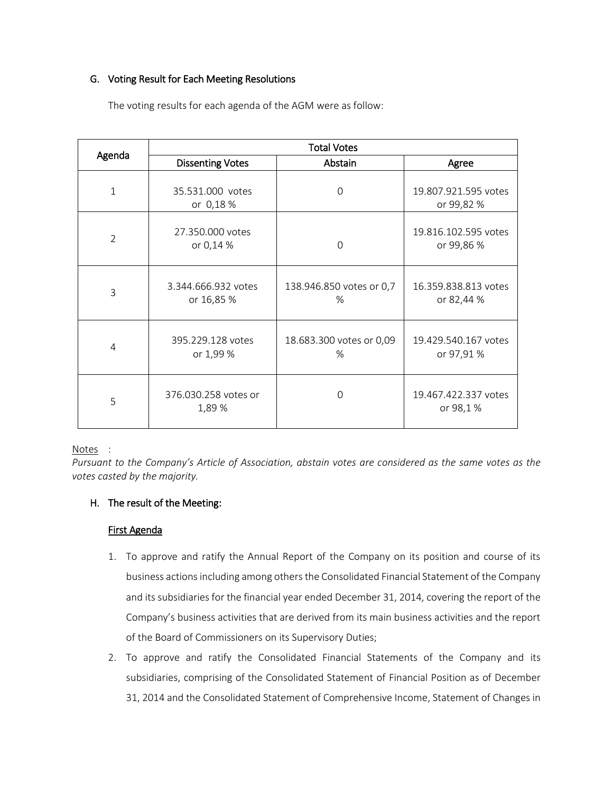## G. Voting Result for Each Meeting Resolutions

|                | <b>Total Votes</b>                |                                  |                                    |  |
|----------------|-----------------------------------|----------------------------------|------------------------------------|--|
| Agenda         | <b>Dissenting Votes</b>           | Abstain                          | Agree                              |  |
| 1              | 35.531.000 votes<br>or 0,18 %     | $\Omega$                         | 19.807.921.595 votes<br>or 99,82 % |  |
| $\overline{2}$ | 27.350.000 votes<br>or 0,14 %     | $\Omega$                         | 19.816.102.595 votes<br>or 99,86 % |  |
| 3              | 3.344.666.932 votes<br>or 16,85 % | 138.946.850 votes or 0,7<br>$\%$ | 16.359.838.813 votes<br>or 82,44 % |  |
| 4              | 395.229.128 votes<br>or 1,99 %    | 18.683.300 votes or 0,09<br>$\%$ | 19.429.540.167 votes<br>or 97,91 % |  |
| 5              | 376.030.258 votes or<br>1,89 %    | $\Omega$                         | 19.467.422.337 votes<br>or 98,1%   |  |

The voting results for each agenda of the AGM were as follow:

## Notes :

*Pursuant to the Company's Article of Association, abstain votes are considered as the same votes as the votes casted by the majority.*

## H. The result of the Meeting:

## First Agenda

- 1. To approve and ratify the Annual Report of the Company on its position and course of its business actions including among others the Consolidated Financial Statement of the Company and its subsidiaries for the financial year ended December 31, 2014, covering the report of the Company's business activities that are derived from its main business activities and the report of the Board of Commissioners on its Supervisory Duties;
- 2. To approve and ratify the Consolidated Financial Statements of the Company and its subsidiaries, comprising of the Consolidated Statement of Financial Position as of December 31, 2014 and the Consolidated Statement of Comprehensive Income, Statement of Changes in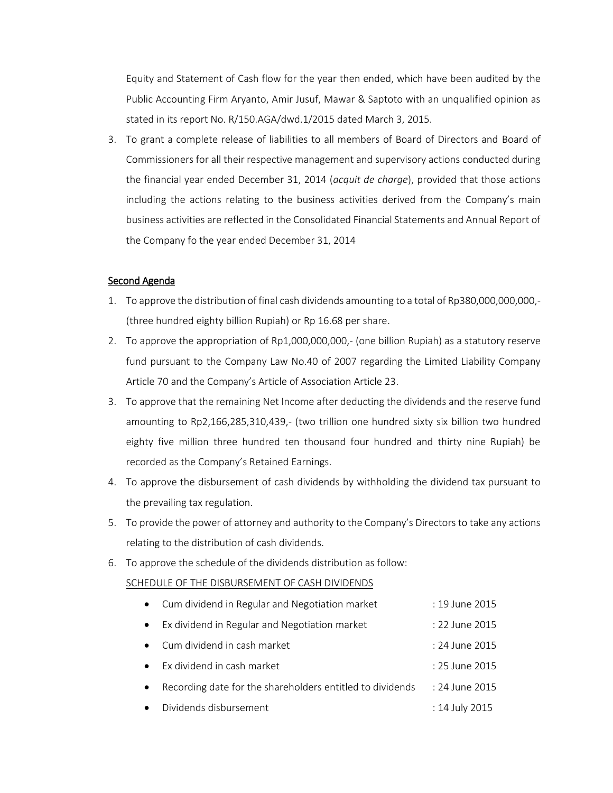Equity and Statement of Cash flow for the year then ended, which have been audited by the Public Accounting Firm Aryanto, Amir Jusuf, Mawar & Saptoto with an unqualified opinion as stated in its report No. R/150.AGA/dwd.1/2015 dated March 3, 2015.

3. To grant a complete release of liabilities to all members of Board of Directors and Board of Commissioners for all their respective management and supervisory actions conducted during the financial year ended December 31, 2014 (*acquit de charge*), provided that those actions including the actions relating to the business activities derived from the Company's main business activities are reflected in the Consolidated Financial Statements and Annual Report of the Company fo the year ended December 31, 2014

## Second Agenda

- 1. To approve the distribution of final cash dividends amounting to a total of Rp380,000,000,000,- (three hundred eighty billion Rupiah) or Rp 16.68 per share.
- 2. To approve the appropriation of Rp1,000,000,000,- (one billion Rupiah) as a statutory reserve fund pursuant to the Company Law No.40 of 2007 regarding the Limited Liability Company Article 70 and the Company's Article of Association Article 23.
- 3. To approve that the remaining Net Income after deducting the dividends and the reserve fund amounting to Rp2,166,285,310,439,- (two trillion one hundred sixty six billion two hundred eighty five million three hundred ten thousand four hundred and thirty nine Rupiah) be recorded as the Company's Retained Earnings.
- 4. To approve the disbursement of cash dividends by withholding the dividend tax pursuant to the prevailing tax regulation.
- 5. To provide the power of attorney and authority to the Company's Directors to take any actions relating to the distribution of cash dividends.
- 6. To approve the schedule of the dividends distribution as follow:

#### SCHEDULE OF THE DISBURSEMENT OF CASH DIVIDENDS

| • Cum dividend in Regular and Negotiation market | : 19 June 2015   |
|--------------------------------------------------|------------------|
| Ex dividend in Regular and Negotiation market    | : 22 June 2015   |
| • Cum dividend in cash market                    | : 24 June 2015   |
| Ex dividend in cash market                       | $: 25$ June 2015 |
|                                                  |                  |

- Recording date for the shareholders entitled to dividends : 24 June 2015
- Dividends disbursement : 14 July 2015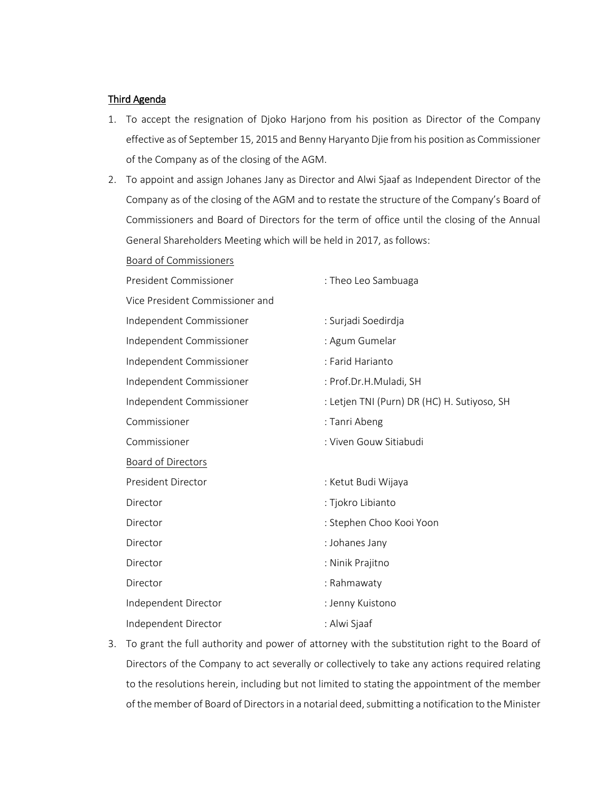#### Third Agenda

- 1. To accept the resignation of Djoko Harjono from his position as Director of the Company effective as of September 15, 2015 and Benny Haryanto Djie from his position as Commissioner of the Company as of the closing of the AGM.
- 2. To appoint and assign Johanes Jany as Director and Alwi Sjaaf as Independent Director of the Company as of the closing of the AGM and to restate the structure of the Company's Board of Commissioners and Board of Directors for the term of office until the closing of the Annual General Shareholders Meeting which will be held in 2017, as follows:

| Board of Commissioners          |                                             |
|---------------------------------|---------------------------------------------|
| President Commissioner          | : Theo Leo Sambuaga                         |
| Vice President Commissioner and |                                             |
| Independent Commissioner        | : Surjadi Soedirdja                         |
| Independent Commissioner        | : Agum Gumelar                              |
| Independent Commissioner        | : Farid Harianto                            |
| Independent Commissioner        | : Prof.Dr.H.Muladi, SH                      |
| Independent Commissioner        | : Letjen TNI (Purn) DR (HC) H. Sutiyoso, SH |
| Commissioner                    | : Tanri Abeng                               |
| Commissioner                    | : Viven Gouw Sitiabudi                      |
| Board of Directors              |                                             |
| President Director              | : Ketut Budi Wijaya                         |
| Director                        | : Tjokro Libianto                           |
| Director                        | : Stephen Choo Kooi Yoon                    |
| Director                        | : Johanes Jany                              |
| Director                        | : Ninik Prajitno                            |
| Director                        | : Rahmawaty                                 |
| Independent Director            | : Jenny Kuistono                            |
| Independent Director            | : Alwi Sjaaf                                |

3. To grant the full authority and power of attorney with the substitution right to the Board of Directors of the Company to act severally or collectively to take any actions required relating to the resolutions herein, including but not limited to stating the appointment of the member of the member of Board of Directors in a notarial deed, submitting a notification to the Minister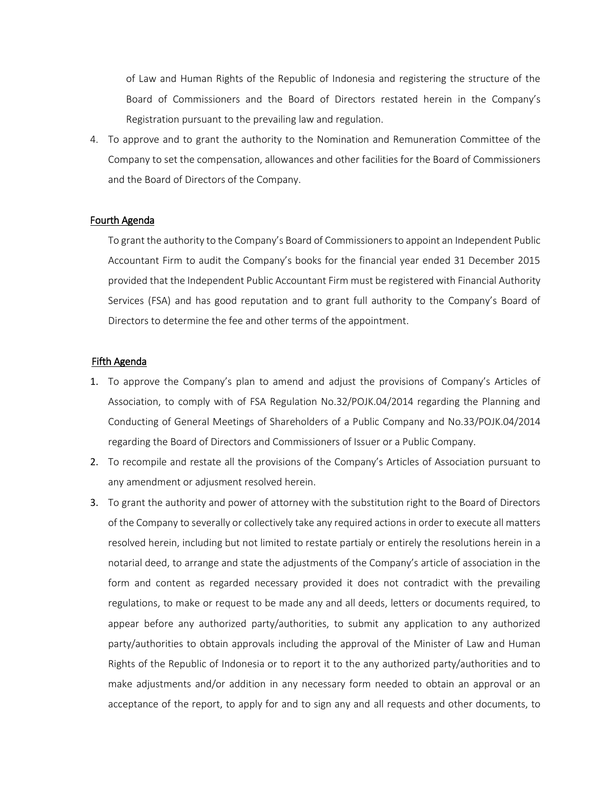of Law and Human Rights of the Republic of Indonesia and registering the structure of the Board of Commissioners and the Board of Directors restated herein in the Company's Registration pursuant to the prevailing law and regulation.

4. To approve and to grant the authority to the Nomination and Remuneration Committee of the Company to set the compensation, allowances and other facilities for the Board of Commissioners and the Board of Directors of the Company.

#### Fourth Agenda

To grant the authority to the Company's Board of Commissioners to appoint an Independent Public Accountant Firm to audit the Company's books for the financial year ended 31 December 2015 provided that the Independent Public Accountant Firm must be registered with Financial Authority Services (FSA) and has good reputation and to grant full authority to the Company's Board of Directors to determine the fee and other terms of the appointment.

#### Fifth Agenda

- 1. To approve the Company's plan to amend and adjust the provisions of Company's Articles of Association, to comply with of FSA Regulation No.32/POJK.04/2014 regarding the Planning and Conducting of General Meetings of Shareholders of a Public Company and No.33/POJK.04/2014 regarding the Board of Directors and Commissioners of Issuer or a Public Company.
- 2. To recompile and restate all the provisions of the Company's Articles of Association pursuant to any amendment or adjusment resolved herein.
- 3. To grant the authority and power of attorney with the substitution right to the Board of Directors of the Company to severally or collectively take any required actions in order to execute all matters resolved herein, including but not limited to restate partialy or entirely the resolutions herein in a notarial deed, to arrange and state the adjustments of the Company's article of association in the form and content as regarded necessary provided it does not contradict with the prevailing regulations, to make or request to be made any and all deeds, letters or documents required, to appear before any authorized party/authorities, to submit any application to any authorized party/authorities to obtain approvals including the approval of the Minister of Law and Human Rights of the Republic of Indonesia or to report it to the any authorized party/authorities and to make adjustments and/or addition in any necessary form needed to obtain an approval or an acceptance of the report, to apply for and to sign any and all requests and other documents, to